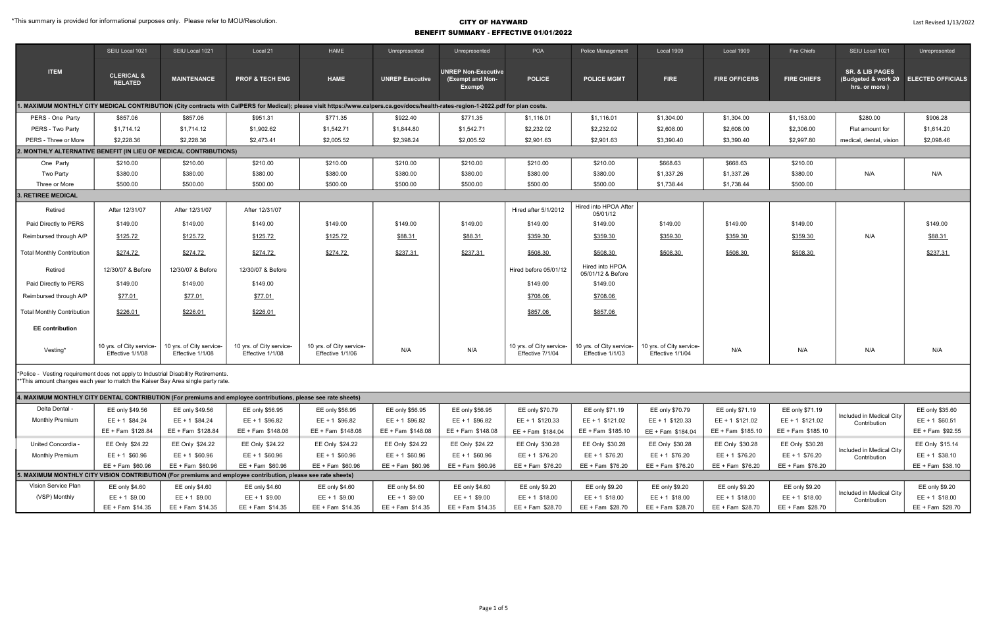|                                                                                                                                                                       | SEIU Local 1021                                                   | SEIU Local 1021                              | Local 21                                     | HAME                                                                                                                                                                               | Unrepresented          | Unrepresented                                             | POA                                          | Police Management                            | Local 1909                                   | Local 1909           | Fire Chiefs        | SEIU Local 1021                             | Unrepresented                         |
|-----------------------------------------------------------------------------------------------------------------------------------------------------------------------|-------------------------------------------------------------------|----------------------------------------------|----------------------------------------------|------------------------------------------------------------------------------------------------------------------------------------------------------------------------------------|------------------------|-----------------------------------------------------------|----------------------------------------------|----------------------------------------------|----------------------------------------------|----------------------|--------------------|---------------------------------------------|---------------------------------------|
| <b>ITEM</b>                                                                                                                                                           | <b>CLERICAL &amp;</b><br><b>RELATED</b>                           | <b>MAINTENANCE</b>                           | <b>PROF &amp; TECH ENG</b>                   | <b>HAME</b>                                                                                                                                                                        | <b>UNREP Executive</b> | <b>UNREP Non-Executive</b><br>(Exempt and Non-<br>Exempt) | <b>POLICE</b>                                | <b>POLICE MGMT</b>                           | <b>FIRE</b>                                  | <b>FIRE OFFICERS</b> | <b>FIRE CHIEFS</b> | <b>SR. &amp; LIB PAGES</b><br>hrs. or more) | (Budgeted & work 20 ELECTED OFFICIALS |
|                                                                                                                                                                       |                                                                   |                                              |                                              | . MAXIMUM MONTHLY CITY MEDICAL CONTRIBUTION (City contracts with CaIPERS for Medical); please visit https://www.calpers.ca.gov/docs/health-rates-region-1-2022.pdf for plan costs. |                        |                                                           |                                              |                                              |                                              |                      |                    |                                             |                                       |
| PERS - One Party                                                                                                                                                      | \$857.06                                                          | \$857.06                                     | \$951.31                                     | \$771.35                                                                                                                                                                           | \$922.40               | \$771.35                                                  | \$1,116.01                                   | \$1,116.01                                   | \$1,304.00                                   | \$1,304.00           | \$1,153.00         | \$280.00                                    | \$906.28                              |
| PERS - Two Party                                                                                                                                                      | \$1,714.12                                                        | \$1,714.12                                   | \$1,902.62                                   | \$1,542.71                                                                                                                                                                         | \$1,844.80             | \$1,542.71                                                | \$2,232.02                                   | \$2,232.02                                   | \$2,608.00                                   | \$2,608.00           | \$2,306.00         | Flat amount for                             | \$1,614.20                            |
| PERS - Three or More                                                                                                                                                  | \$2,228.36                                                        | \$2,228.36                                   | \$2,473.41                                   | \$2,005.52                                                                                                                                                                         | \$2,398.24             | \$2,005.52                                                | \$2,901.63                                   | \$2,901.63                                   | \$3,390.40                                   | \$3,390.40           | \$2,997.80         | medical, dental, vision                     | \$2,098.46                            |
|                                                                                                                                                                       | 2. MONTHLY ALTERNATIVE BENEFIT (IN LIEU OF MEDICAL CONTRIBUTIONS) |                                              |                                              |                                                                                                                                                                                    |                        |                                                           |                                              |                                              |                                              |                      |                    |                                             |                                       |
| One Party                                                                                                                                                             | \$210.00                                                          | \$210.00                                     | \$210.00                                     | \$210.00                                                                                                                                                                           | \$210.00               | \$210.00                                                  | \$210.00                                     | \$210.00                                     | \$668.63                                     | \$668.63             | \$210.00           |                                             |                                       |
| Two Party                                                                                                                                                             | \$380.00                                                          | \$380.00                                     | \$380.00                                     | \$380.00                                                                                                                                                                           | \$380.00               | \$380.00                                                  | \$380.00                                     | \$380.00                                     | \$1,337.26                                   | \$1,337.26           | \$380.00           | N/A                                         | N/A                                   |
| Three or More                                                                                                                                                         | \$500.00                                                          | \$500.00                                     | \$500.00                                     | \$500.00                                                                                                                                                                           | \$500.00               | \$500.00                                                  | \$500.00                                     | \$500.00                                     | \$1,738.44                                   | \$1,738.44           | \$500.00           |                                             |                                       |
| 3. RETIREE MEDICAL                                                                                                                                                    |                                                                   |                                              |                                              |                                                                                                                                                                                    |                        |                                                           |                                              |                                              |                                              |                      |                    |                                             |                                       |
| Retired                                                                                                                                                               | After 12/31/07                                                    | After 12/31/07                               | After 12/31/07                               |                                                                                                                                                                                    |                        |                                                           | Hired after 5/1/2012                         | Hired into HPOA After<br>05/01/12            |                                              |                      |                    |                                             |                                       |
| Paid Directly to PERS                                                                                                                                                 | \$149.00                                                          | \$149.00                                     | \$149.00                                     | \$149.00                                                                                                                                                                           | \$149.00               | \$149.00                                                  | \$149.00                                     | \$149.00                                     | \$149.00                                     | \$149.00             | \$149.00           |                                             | \$149.00                              |
| Reimbursed through A/P                                                                                                                                                | \$125.72                                                          | \$125.72                                     | \$125.72                                     | \$125.72                                                                                                                                                                           | \$88.31                | \$88.31                                                   | \$359.30                                     | \$359.30                                     | \$359.30                                     | \$359.30             | \$359.30           | N/A                                         | \$88.31                               |
| <b>Total Monthly Contribution</b>                                                                                                                                     | \$274.72                                                          | \$274.72                                     | \$274.72                                     | \$274.72                                                                                                                                                                           | \$237.31               | \$237.31                                                  | \$508.30                                     | \$508.30                                     | \$508.30                                     | \$508.30             | \$508.30           |                                             | \$237.31                              |
| Retired                                                                                                                                                               | 12/30/07 & Before                                                 | 12/30/07 & Before                            | 12/30/07 & Before                            |                                                                                                                                                                                    |                        |                                                           | Hired before 05/01/12                        | Hired into HPOA<br>05/01/12 & Before         |                                              |                      |                    |                                             |                                       |
| Paid Directly to PERS                                                                                                                                                 | \$149.00                                                          | \$149.00                                     | \$149.00                                     |                                                                                                                                                                                    |                        |                                                           | \$149.00                                     | \$149.00                                     |                                              |                      |                    |                                             |                                       |
| Reimbursed through A/P                                                                                                                                                | \$77.01                                                           | \$77.01                                      | \$77.01                                      |                                                                                                                                                                                    |                        |                                                           | \$708.06                                     | \$708.06                                     |                                              |                      |                    |                                             |                                       |
| <b>Total Monthly Contribution</b>                                                                                                                                     | \$226.01                                                          | \$226.01                                     | \$226.01                                     |                                                                                                                                                                                    |                        |                                                           | \$857.06                                     | \$857.06                                     |                                              |                      |                    |                                             |                                       |
| <b>EE</b> contribution                                                                                                                                                |                                                                   |                                              |                                              |                                                                                                                                                                                    |                        |                                                           |                                              |                                              |                                              |                      |                    |                                             |                                       |
| Vesting*                                                                                                                                                              | 10 yrs. of City service-<br>Effective 1/1/08                      | 10 yrs. of City service-<br>Effective 1/1/08 | 10 yrs. of City service-<br>Effective 1/1/08 | 10 yrs. of City service-<br>Effective 1/1/06                                                                                                                                       | N/A                    | N/A                                                       | 10 yrs. of City service-<br>Effective 7/1/04 | 10 yrs. of City service-<br>Effective 1/1/03 | 10 yrs. of City service-<br>Effective 1/1/04 | N/A                  | N/A                | N/A                                         | N/A                                   |
| *Police - Vesting requirement does not apply to Industrial Disability Retirements.<br>**This amount changes each year to match the Kaiser Bay Area single party rate. |                                                                   |                                              |                                              |                                                                                                                                                                                    |                        |                                                           |                                              |                                              |                                              |                      |                    |                                             |                                       |

| 4. MAXIMUM MONTHLY CITY DENTAL CONTRIBUTION (For premiums and employee contributions, please see rate sheets) |                    |                   |                   |                   |                    |                   |                   |                   |                   |                   |                   |                                            |                  |
|---------------------------------------------------------------------------------------------------------------|--------------------|-------------------|-------------------|-------------------|--------------------|-------------------|-------------------|-------------------|-------------------|-------------------|-------------------|--------------------------------------------|------------------|
| Delta Dental -                                                                                                | EE only \$49.56    | EE only \$49.56   | EE only \$56.95   | EE only \$56.95   | EE only \$56.95    | EE only \$56.95   | EE only \$70.79   | EE only \$71.19   | EE only \$70.79   | EE only \$71.19   | EE only \$71.19   |                                            | EE only \$35.60  |
| <b>Monthly Premium</b>                                                                                        | EE + 1 \$84.24     | $EE + 1$ \$84.24  | EE + 1 \$96.82    | $EE + 1$ \$96.82  | EE + 1 \$96.82     | $EE + 1$ \$96.82  | $EE + 1$ \$120.33 | EE + 1 \$121.02   | EE + 1 \$120.33   | EE + 1 \$121.02   | EE + 1 \$121.02   | l Included in Medical Citv<br>Contribution | $EE + 1$ \$60.51 |
|                                                                                                               | EE + Fam \$128.84  | EE + Fam \$128.84 | EE + Fam \$148.08 | EE + Fam \$148.08 | EE + Fam \$148.08  | EE + Fam \$148.08 | EE + Fam \$184.04 | EE + Fam \$185.10 | EE + Fam \$184.04 | EE + Fam \$185.10 | EE + Fam \$185.10 |                                            | EE + Fam \$92.55 |
| United Concordia -                                                                                            | EE Only \$24.22    | EE Only \$24.22   | EE Only \$24.22   | EE Only \$24.22   | EE Only \$24.22    | EE Only \$24.22   | EE Only \$30.28   | EE Only \$30.28   | EE Only \$30.28   | EE Only \$30.28   | EE Only \$30.28   |                                            | EE Only \$15.14  |
| <b>Monthly Premium</b>                                                                                        | $EE + 1$ \$60.96   | EE + 1 \$60.96    | EE + 1 \$60.96    | $EE + 1$ \$60.96  | $EE + 1$ \$60.96   | $EE + 1$ \$60.96  | $EE + 1$ \$76.20  | EE + 1 \$76.20    | $EE + 1$ \$76.20  | EE + 1 \$76.20    | EE + 1 \$76.20    | I Included in Medical City<br>Contribution | $EE + 1$ \$38.10 |
|                                                                                                               | $EE + Fam$ \$60.96 | EE + Fam \$60.96  | EE + Fam \$60.96  | EE + Fam \$60.96  | EE + Fam \$60.96   | EE + Fam \$60.96  | EE + Fam \$76.20  | EE + Fam \$76.20  | EE + Fam \$76.20  | EE + Fam \$76.20  | EE + Fam \$76.20  |                                            | EE + Fam \$38.10 |
| 5. MAXIMUM MONTHLY CITY VISION CONTRIBUTION (For premiums and employee contribution, please see rate sheets)  |                    |                   |                   |                   |                    |                   |                   |                   |                   |                   |                   |                                            |                  |
| Vision Service Plan                                                                                           | EE only \$4.60     | EE only \$4.60    | EE only \$4.60    | EE only \$4.60    | EE only \$4.60     | EE only \$4.60    | EE only \$9.20    | EE only \$9.20    | EE only \$9.20    | EE only \$9.20    | EE only \$9.20    |                                            | EE only \$9.20   |
| (VSP) Monthly                                                                                                 | $EE + 1$ \$9.00    | EE + 1 \$9.00     | $EE + 1$ \$9.00   | $EE + 1$ \$9.00   | $EE + 1$ \$9.00    | $EE + 1$ \$9.00   | EE + 1 \$18.00    | EE + 1 \$18.00    | $EE + 1$ \$18.00  | $EE + 1$ \$18.00  | EE + 1 \$18.00    | I Included in Medical City<br>Contribution | EE + 1 \$18.00   |
|                                                                                                               | EE + Fam \$14.35   | EE + Fam \$14.35  | EE + Fam \$14.35  | EE + Fam \$14.35  | $EE + Fam$ \$14.35 | EE + Fam \$14.35  | EE + Fam \$28.70  | EE + Fam \$28.70  | EE + Fam \$28.70  | EE + Fam \$28.70  | EE + Fam \$28.70  |                                            | EE + Fam \$28.70 |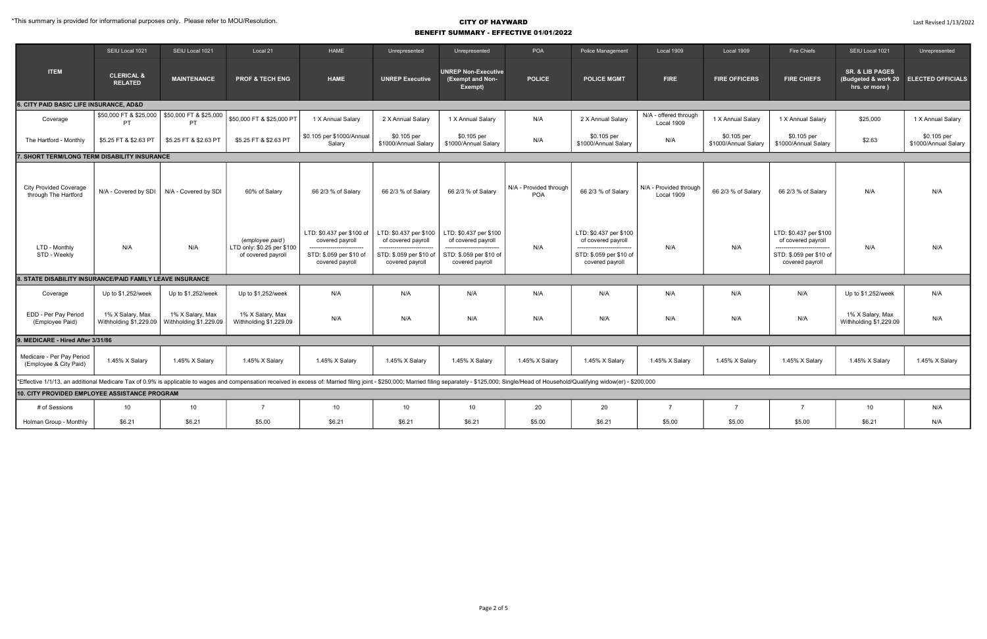|                                                                                                                                                                                                                                  | SEIU Local 1021                              | SEIU Local 1021                            | Local 21                                                            | <b>HAME</b>                                  | Unrepresented                                | Unrepresented                                             | POA                           | Police Management                            | Local 1909                           | Local 1909                          | Fire Chiefs                                  | SEIU Local 1021                             | Unrepresented                         |
|----------------------------------------------------------------------------------------------------------------------------------------------------------------------------------------------------------------------------------|----------------------------------------------|--------------------------------------------|---------------------------------------------------------------------|----------------------------------------------|----------------------------------------------|-----------------------------------------------------------|-------------------------------|----------------------------------------------|--------------------------------------|-------------------------------------|----------------------------------------------|---------------------------------------------|---------------------------------------|
| <b>ITEM</b>                                                                                                                                                                                                                      | <b>CLERICAL &amp;</b><br><b>RELATED</b>      | <b>MAINTENANCE</b>                         | <b>PROF &amp; TECH ENG</b>                                          | <b>HAME</b>                                  | <b>UNREP Executive</b>                       | <b>UNREP Non-Executive</b><br>(Exempt and Non-<br>Exempt) | <b>POLICE</b>                 | <b>POLICE MGMT</b>                           | <b>FIRE</b>                          | <b>FIRE OFFICERS</b>                | <b>FIRE CHIEFS</b>                           | <b>SR. &amp; LIB PAGES</b><br>hrs. or more) | (Budgeted & work 20 ELECTED OFFICIALS |
| 6. CITY PAID BASIC LIFE INSURANCE, AD&D                                                                                                                                                                                          |                                              |                                            |                                                                     |                                              |                                              |                                                           |                               |                                              |                                      |                                     |                                              |                                             |                                       |
| Coverage                                                                                                                                                                                                                         | \$50,000 FT & \$25,000<br>PT.                | \$50,000 FT & \$25,000<br>PT.              | \$50,000 FT & \$25,000 PT                                           | 1 X Annual Salary                            | 2 X Annual Salary                            | 1 X Annual Salary                                         | N/A                           | 2 X Annual Salary                            | N/A - offered through<br>Local 1909  | 1 X Annual Salary                   | 1 X Annual Salary                            | \$25,000                                    | 1 X Annual Salary                     |
| The Hartford - Monthly                                                                                                                                                                                                           | \$5.25 FT & \$2.63 PT                        | \$5.25 FT & \$2.63 PT                      | \$5.25 FT & \$2.63 PT                                               | \$0.105 per \$1000/Annual<br>Salary          | \$0.105 per<br>\$1000/Annual Salary          | \$0.105 per<br>\$1000/Annual Salary                       | N/A                           | \$0.105 per<br>\$1000/Annual Salary          | N/A                                  | \$0.105 per<br>\$1000/Annual Salary | \$0.105 per<br>\$1000/Annual Salary          | \$2.63                                      | \$0.105 per<br>\$1000/Annual Salary   |
|                                                                                                                                                                                                                                  | 7. SHORT TERM/LONG TERM DISABILITY INSURANCE |                                            |                                                                     |                                              |                                              |                                                           |                               |                                              |                                      |                                     |                                              |                                             |                                       |
| <b>City Provided Coverage</b><br>through The Hartford                                                                                                                                                                            | N/A - Covered by SDI                         | N/A - Covered by SDI                       | 60% of Salary                                                       | 66 2/3 % of Salary                           | 66 2/3 % of Salary                           | 66 2/3 % of Salary                                        | N/A - Provided through<br>POA | 66 2/3 % of Salary                           | N/A - Provided through<br>Local 1909 | 66 2/3 % of Salary                  | 66 2/3 % of Salary                           | N/A                                         | N/A                                   |
| LTD - Monthly                                                                                                                                                                                                                    | N/A                                          | N/A                                        | (employee paid)<br>LTD only: \$0.25 per \$100<br>of covered payroll | LTD: \$0.437 per \$100 of<br>covered payroll | LTD: \$0.437 per \$100<br>of covered payroll | LTD: \$0.437 per \$100<br>of covered payroll              | N/A                           | LTD: \$0.437 per \$100<br>of covered payroll | N/A                                  | N/A                                 | LTD: \$0.437 per \$100<br>of covered payroll | N/A                                         | N/A                                   |
| STD - Weekly                                                                                                                                                                                                                     |                                              |                                            |                                                                     | STD: \$.059 per \$10 of<br>covered payroll   | STD: \$.059 per \$10 of<br>covered payroll   | STD: \$.059 per \$10 of<br>covered payroll                |                               | STD: \$.059 per \$10 of<br>covered payroll   |                                      |                                     | STD: \$.059 per \$10 of<br>covered payroll   |                                             |                                       |
| 8. STATE DISABILITY INSURANCE/PAID FAMILY LEAVE INSURANCE                                                                                                                                                                        |                                              |                                            |                                                                     |                                              |                                              |                                                           |                               |                                              |                                      |                                     |                                              |                                             |                                       |
| Coverage                                                                                                                                                                                                                         | Up to \$1,252/week                           | Up to \$1,252/week                         | Up to \$1,252/week                                                  | N/A                                          | N/A                                          | N/A                                                       | N/A                           | N/A                                          | N/A                                  | N/A                                 | N/A                                          | Up to \$1,252/week                          | N/A                                   |
| EDD - Per Pay Period<br>(Employee Paid)                                                                                                                                                                                          | 1% X Salary, Max<br>Withholding \$1,229.09   | 1% X Salary, Max<br>Withholding \$1,229.09 | 1% X Salary, Max<br>Withholding \$1,229.09                          | N/A                                          | N/A                                          | N/A                                                       | N/A                           | N/A                                          | N/A                                  | N/A                                 | N/A                                          | 1% X Salary, Max<br>Withholding \$1,229.09  | N/A                                   |
| 9. MEDICARE - Hired After 3/31/86                                                                                                                                                                                                |                                              |                                            |                                                                     |                                              |                                              |                                                           |                               |                                              |                                      |                                     |                                              |                                             |                                       |
| Medicare - Per Pay Period<br>(Employee & City Paid)                                                                                                                                                                              | 1.45% X Salary                               | 1.45% X Salary                             | 1.45% X Salary                                                      | 1.45% X Salary                               | 1.45% X Salary                               | 1.45% X Salary                                            | 1.45% X Salary                | 1.45% X Salary                               | 1.45% X Salary                       | 1.45% X Salary                      | 1.45% X Salary                               | 1.45% X Salary                              | 1.45% X Salary                        |
| *Effective 1/1/13, an additional Medicare Tax of 0.9% is applicable to wages and compensation received in excess of: Married filing joint - \$250,000; Married filing separately - \$125,000; Single/Head of Household/Qualifyin |                                              |                                            |                                                                     |                                              |                                              |                                                           |                               |                                              |                                      |                                     |                                              |                                             |                                       |
| 10. CITY PROVIDED EMPLOYEE ASSISTANCE PROGRAM                                                                                                                                                                                    |                                              |                                            |                                                                     |                                              |                                              |                                                           |                               |                                              |                                      |                                     |                                              |                                             |                                       |
| # of Sessions                                                                                                                                                                                                                    | 10 <sup>10</sup>                             | 10                                         | $\overline{7}$                                                      | 10 <sup>1</sup>                              | 10                                           | 10 <sup>1</sup>                                           | 20                            | 20                                           | $\overline{7}$                       | $\overline{7}$                      | $\overline{7}$                               | 10 <sup>1</sup>                             | N/A                                   |
| Holman Group - Monthly                                                                                                                                                                                                           | \$6.21                                       | \$6.21                                     | \$5.00                                                              | \$6.21                                       | \$6.21                                       | \$6.21                                                    | \$5.00                        | \$6.21                                       | \$5.00                               | \$5.00                              | \$5.00                                       | \$6.21                                      | N/A                                   |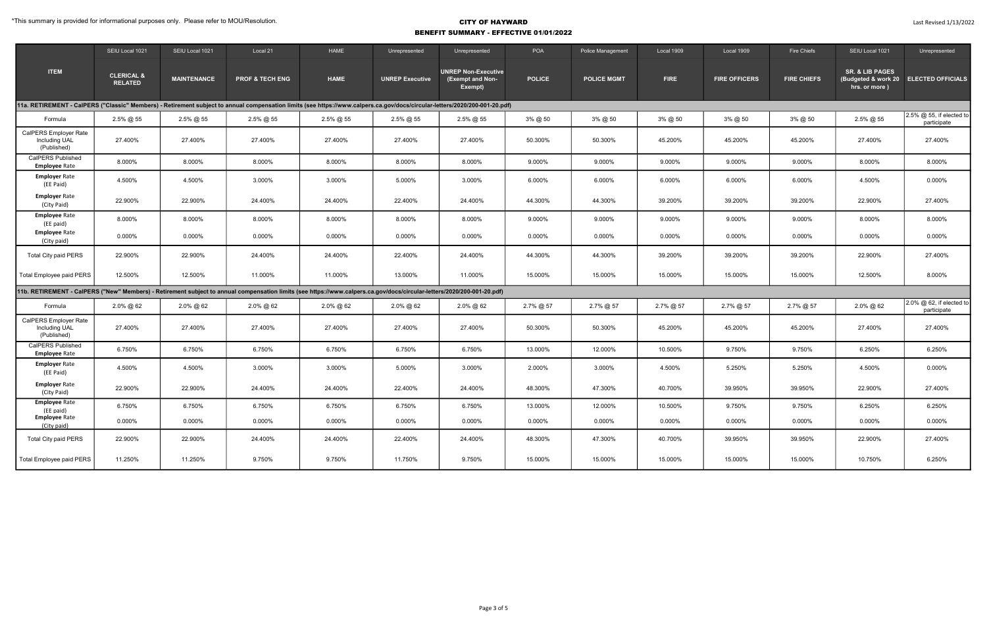#### \*This summary is provided for informational purposes only. Please refer to MOU/Resolution.

|                                                                                                                                                                             | SEIU Local 1021                         | SEIU Local 1021    | Local 21                   | HAME         | Unrepresented          | Unrepresented                                             | <b>POA</b>    | Police Management  | Local 1909  | Local 1909           | Fire Chiefs        | SEIU Local 1021                                                                      | Unrepresented                           |
|-----------------------------------------------------------------------------------------------------------------------------------------------------------------------------|-----------------------------------------|--------------------|----------------------------|--------------|------------------------|-----------------------------------------------------------|---------------|--------------------|-------------|----------------------|--------------------|--------------------------------------------------------------------------------------|-----------------------------------------|
| <b>ITEM</b>                                                                                                                                                                 | <b>CLERICAL &amp;</b><br><b>RELATED</b> | <b>MAINTENANCE</b> | <b>PROF &amp; TECH ENG</b> | <b>HAME</b>  | <b>UNREP Executive</b> | <b>UNREP Non-Executive</b><br>(Exempt and Non-<br>Exempt) | <b>POLICE</b> | <b>POLICE MGMT</b> | <b>FIRE</b> | <b>FIRE OFFICERS</b> | <b>FIRE CHIEFS</b> | <b>SR. &amp; LIB PAGES</b><br>(Budgeted & work 20 ELECTED OFFICIALS<br>hrs. or more) |                                         |
| 11a. RETIREMENT - CaIPERS ("Classic" Members) - Retirement subject to annual compensation limits (see https://www.calpers.ca.gov/docs/circular-letters/2020/200-001-20.pdf) |                                         |                    |                            |              |                        |                                                           |               |                    |             |                      |                    |                                                                                      |                                         |
| Formula                                                                                                                                                                     | 2.5% @ 55                               | 2.5% @ 55          | $2.5\%$ @ 55               | 2.5% @ 55    | 2.5% @ 55              | 2.5% @ 55                                                 | 3% @ 50       | 3% @ 50            | 3% @ 50     | 3% @ 50              | 3% @ 50            | 2.5% @ 55                                                                            | 2.5% @ 55, if elected to<br>participate |
| CalPERS Employer Rate<br><b>Including UAL</b><br>(Published)                                                                                                                | 27.400%                                 | 27.400%            | 27.400%                    | 27.400%      | 27.400%                | 27.400%                                                   | 50.300%       | 50.300%            | 45.200%     | 45.200%              | 45.200%            | 27.400%                                                                              | 27.400%                                 |
| <b>CalPERS Published</b><br><b>Employee Rate</b>                                                                                                                            | 8.000%                                  | 8.000%             | 8.000%                     | 8.000%       | 8.000%                 | 8.000%                                                    | 9.000%        | 9.000%             | 9.000%      | 9.000%               | 9.000%             | 8.000%                                                                               | 8.000%                                  |
| <b>Employer Rate</b><br>(EE Paid)                                                                                                                                           | 4.500%                                  | 4.500%             | 3.000%                     | 3.000%       | 5.000%                 | 3.000%                                                    | 6.000%        | 6.000%             | 6.000%      | 6.000%               | 6.000%             | 4.500%                                                                               | 0.000%                                  |
| <b>Employer Rate</b><br>(City Paid)                                                                                                                                         | 22.900%                                 | 22.900%            | 24.400%                    | 24.400%      | 22.400%                | 24.400%                                                   | 44.300%       | 44.300%            | 39.200%     | 39.200%              | 39.200%            | 22.900%                                                                              | 27.400%                                 |
| <b>Employee Rate</b><br>(EE paid)                                                                                                                                           | 8.000%                                  | 8.000%             | 8.000%                     | 8.000%       | 8.000%                 | 8.000%                                                    | 9.000%        | 9.000%             | 9.000%      | 9.000%               | 9.000%             | 8.000%                                                                               | 8.000%                                  |
| <b>Employee Rate</b><br>(City paid)                                                                                                                                         | 0.000%                                  | 0.000%             | 0.000%                     | 0.000%       | 0.000%                 | $0.000\%$                                                 | 0.000%        | 0.000%             | 0.000%      | 0.000%               | 0.000%             | 0.000%                                                                               | 0.000%                                  |
| <b>Total City paid PERS</b>                                                                                                                                                 | 22.900%                                 | 22.900%            | 24.400%                    | 24.400%      | 22.400%                | 24.400%                                                   | 44.300%       | 44.300%            | 39.200%     | 39.200%              | 39.200%            | 22.900%                                                                              | 27.400%                                 |
| Total Employee paid PERS                                                                                                                                                    | 12.500%                                 | 12.500%            | 11.000%                    | 11.000%      | 13.000%                | 11.000%                                                   | 15.000%       | 15.000%            | 15.000%     | 15.000%              | 15.000%            | 12.500%                                                                              | 8.000%                                  |
| 11b. RETIREMENT - CaIPERS ("New" Members) - Retirement subject to annual compensation limits (see https://www.calpers.ca.gov/docs/circular-letters/2020/200-001-20.pdf)     |                                         |                    |                            |              |                        |                                                           |               |                    |             |                      |                    |                                                                                      |                                         |
| Formula                                                                                                                                                                     | $2.0\%$ @ 62                            | $2.0\%$ @ 62       | 2.0% @ 62                  | $2.0\%$ @ 62 | $2.0\%$ @ 62           | $2.0\%$ @ 62                                              | $2.7\%$ @ 57  | 2.7% @ 57          | 2.7% @ 57   | 2.7% @ 57            | 2.7% @ 57          | 2.0% @ 62                                                                            | 2.0% @ 62, if elected to<br>participate |
| CalPERS Employer Rate<br>Including UAL<br>(Published)                                                                                                                       | 27.400%                                 | 27.400%            | 27.400%                    | 27.400%      | 27.400%                | 27.400%                                                   | 50.300%       | 50.300%            | 45.200%     | 45.200%              | 45.200%            | 27.400%                                                                              | 27.400%                                 |
| <b>CalPERS Published</b><br><b>Employee Rate</b>                                                                                                                            | 6.750%                                  | 6.750%             | 6.750%                     | 6.750%       | 6.750%                 | 6.750%                                                    | 13.000%       | 12.000%            | 10.500%     | 9.750%               | 9.750%             | 6.250%                                                                               | 6.250%                                  |
| <b>Employer Rate</b><br>(EE Paid)                                                                                                                                           | 4.500%                                  | 4.500%             | 3.000%                     | 3.000%       | 5.000%                 | 3.000%                                                    | 2.000%        | 3.000%             | 4.500%      | 5.250%               | 5.250%             | 4.500%                                                                               | 0.000%                                  |
| <b>Employer Rate</b><br>(City Paid)                                                                                                                                         | 22.900%                                 | 22.900%            | 24.400%                    | 24.400%      | 22.400%                | 24.400%                                                   | 48.300%       | 47.300%            | 40.700%     | 39.950%              | 39.950%            | 22.900%                                                                              | 27.400%                                 |
| <b>Employee Rate</b><br>(EE paid)                                                                                                                                           | 6.750%                                  | 6.750%             | 6.750%                     | 6.750%       | 6.750%                 | 6.750%                                                    | 13.000%       | 12.000%            | 10.500%     | 9.750%               | 9.750%             | 6.250%                                                                               | 6.250%                                  |
| <b>Employee Rate</b><br>(City paid)                                                                                                                                         | 0.000%                                  | 0.000%             | 0.000%                     | 0.000%       | 0.000%                 | $0.000\%$                                                 | $0.000\%$     | 0.000%             | 0.000%      | 0.000%               | 0.000%             | 0.000%                                                                               | 0.000%                                  |
| <b>Total City paid PERS</b>                                                                                                                                                 | 22.900%                                 | 22.900%            | 24.400%                    | 24.400%      | 22.400%                | 24.400%                                                   | 48.300%       | 47.300%            | 40.700%     | 39.950%              | 39.950%            | 22.900%                                                                              | 27.400%                                 |
| Total Employee paid PERS                                                                                                                                                    | 11.250%                                 | 11.250%            | 9.750%                     | 9.750%       | 11.750%                | 9.750%                                                    | 15.000%       | 15.000%            | 15.000%     | 15.000%              | 15.000%            | 10.750%                                                                              | 6.250%                                  |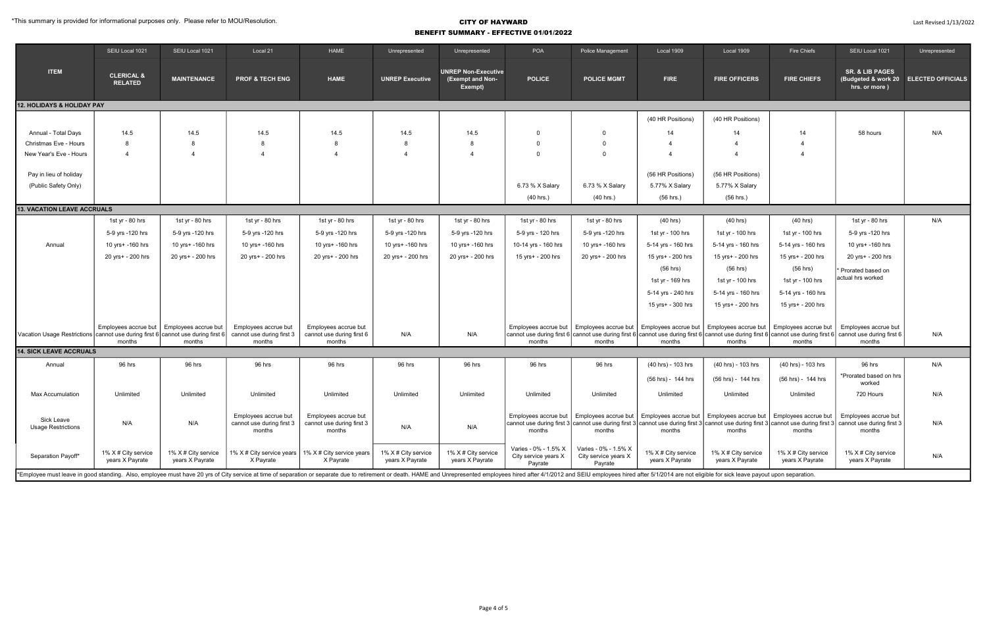|                                                                                                                                                                                                                                                      | SEIU Local 1021                         | SEIU Local 1021                        | Local 21                                                    | <b>HAME</b>                                                 | Unrepresented                          | Unrepresented                                             | POA                                                     | Police Management                                       | Local 1909                                                                     | Local 1909                                                              | Fire Chiefs                                                                                         | SEIU Local 1021                                                                                                                                                                               | Unrepresented                         |
|------------------------------------------------------------------------------------------------------------------------------------------------------------------------------------------------------------------------------------------------------|-----------------------------------------|----------------------------------------|-------------------------------------------------------------|-------------------------------------------------------------|----------------------------------------|-----------------------------------------------------------|---------------------------------------------------------|---------------------------------------------------------|--------------------------------------------------------------------------------|-------------------------------------------------------------------------|-----------------------------------------------------------------------------------------------------|-----------------------------------------------------------------------------------------------------------------------------------------------------------------------------------------------|---------------------------------------|
| <b>ITEM</b>                                                                                                                                                                                                                                          | <b>CLERICAL &amp;</b><br><b>RELATED</b> | <b>MAINTENANCE</b>                     | <b>PROF &amp; TECH ENG</b>                                  | <b>HAME</b>                                                 | <b>UNREP Executive</b>                 | <b>UNREP Non-Executive</b><br>(Exempt and Non-<br>Exempt) | <b>POLICE</b>                                           | <b>POLICE MGMT</b>                                      | <b>FIRE</b>                                                                    | <b>FIRE OFFICERS</b>                                                    | <b>FIRE CHIEFS</b>                                                                                  | <b>SR. &amp; LIB PAGES</b><br>hrs. or more)                                                                                                                                                   | (Budgeted & work 20 ELECTED OFFICIALS |
| <b>12. HOLIDAYS &amp; HOLIDAY PAY</b>                                                                                                                                                                                                                |                                         |                                        |                                                             |                                                             |                                        |                                                           |                                                         |                                                         |                                                                                |                                                                         |                                                                                                     |                                                                                                                                                                                               |                                       |
|                                                                                                                                                                                                                                                      |                                         |                                        |                                                             |                                                             |                                        |                                                           |                                                         |                                                         | (40 HR Positions)                                                              | (40 HR Positions)                                                       |                                                                                                     |                                                                                                                                                                                               |                                       |
| Annual - Total Days                                                                                                                                                                                                                                  | 14.5                                    | 14.5                                   | 14.5                                                        | 14.5                                                        | 14.5                                   | 14.5                                                      | 0                                                       | $\Omega$                                                | 14                                                                             | 14                                                                      | 14                                                                                                  | 58 hours                                                                                                                                                                                      | N/A                                   |
| Christmas Eve - Hours                                                                                                                                                                                                                                | 8                                       | -8                                     | 8                                                           | - 8                                                         | -8                                     | -8                                                        | ∩                                                       | $\Omega$                                                |                                                                                |                                                                         | $\overline{4}$                                                                                      |                                                                                                                                                                                               |                                       |
| New Year's Eve - Hours                                                                                                                                                                                                                               | 4                                       | $\Delta$                               | $\Delta$                                                    | $\boldsymbol{\Lambda}$                                      | $\overline{4}$                         | $\overline{4}$                                            |                                                         | $\Omega$                                                |                                                                                |                                                                         | $\overline{4}$                                                                                      |                                                                                                                                                                                               |                                       |
| Pay in lieu of holiday<br>(Public Safety Only)                                                                                                                                                                                                       |                                         |                                        |                                                             |                                                             |                                        |                                                           | 6.73 % X Salary                                         | 6.73 % X Salary                                         | (56 HR Positions)<br>5.77% X Salary                                            | (56 HR Positions)<br>5.77% X Salary                                     |                                                                                                     |                                                                                                                                                                                               |                                       |
|                                                                                                                                                                                                                                                      |                                         |                                        |                                                             |                                                             |                                        |                                                           | (40 hrs.)                                               | $(40$ hrs.)                                             | (56 hrs.)                                                                      | $(56$ hrs.)                                                             |                                                                                                     |                                                                                                                                                                                               |                                       |
| <b>13. VACATION LEAVE ACCRUALS</b>                                                                                                                                                                                                                   |                                         |                                        |                                                             |                                                             |                                        |                                                           |                                                         |                                                         |                                                                                |                                                                         |                                                                                                     |                                                                                                                                                                                               |                                       |
|                                                                                                                                                                                                                                                      | 1st yr - 80 hrs                         | 1st yr - 80 hrs                        | 1st yr - 80 hrs                                             | 1st yr - 80 hrs                                             | 1st yr - 80 hrs                        | 1st yr - 80 hrs                                           | 1st yr - 80 hrs                                         | 1st yr - 80 hrs                                         | (40 hrs)                                                                       | $(40$ hrs)                                                              | (40 hrs)                                                                                            | 1st yr - 80 hrs                                                                                                                                                                               | N/A                                   |
|                                                                                                                                                                                                                                                      | 5-9 yrs -120 hrs                        | 5-9 yrs -120 hrs                       | 5-9 yrs -120 hrs                                            | 5-9 yrs -120 hrs                                            | 5-9 yrs -120 hrs                       | 5-9 yrs -120 hrs                                          | 5-9 yrs - 120 hrs                                       | 5-9 yrs -120 hrs                                        | 1st yr - 100 hrs                                                               | 1st yr - 100 hrs                                                        | 1st yr - 100 hrs                                                                                    | 5-9 yrs -120 hrs                                                                                                                                                                              |                                       |
| Annual                                                                                                                                                                                                                                               | 10 yrs+ -160 hrs                        | 10 yrs+ -160 hrs                       | 10 yrs+ -160 hrs                                            | 10 yrs+ -160 hrs                                            | 10 yrs+ -160 hrs                       | 10 yrs+ -160 hrs                                          | 10-14 yrs - 160 hrs                                     | 10 yrs+ -160 hrs                                        | 5-14 yrs - 160 hrs                                                             | 5-14 yrs - 160 hrs                                                      | 5-14 yrs - 160 hrs                                                                                  | 10 yrs+ -160 hrs                                                                                                                                                                              |                                       |
|                                                                                                                                                                                                                                                      | 20 yrs+ - 200 hrs                       | 20 yrs+ - 200 hrs                      | 20 yrs+ - 200 hrs                                           | 20 yrs+ - 200 hrs                                           | 20 yrs+ - 200 hrs                      | 20 yrs+ - 200 hrs                                         | 15 yrs+ - 200 hrs                                       | 20 yrs+ - 200 hrs                                       | 15 yrs+ - 200 hrs                                                              | 15 yrs+ - 200 hrs                                                       | 15 yrs+ - 200 hrs                                                                                   | 20 yrs+ - 200 hrs                                                                                                                                                                             |                                       |
|                                                                                                                                                                                                                                                      |                                         |                                        |                                                             |                                                             |                                        |                                                           |                                                         |                                                         | $(56$ hrs)<br>1st yr - 169 hrs<br>5-14 yrs - 240 hrs<br>15 yrs+ - 300 hrs      | (56 hrs)<br>1st yr - 100 hrs<br>5-14 yrs - 160 hrs<br>15 yrs+ - 200 hrs | $(56$ hrs)<br>1st yr - 100 hrs<br>5-14 yrs - 160 hrs<br>15 yrs+ - 200 hrs                           | Prorated based on<br>actual hrs worked                                                                                                                                                        |                                       |
| Vacation Usage Restrictions   cannot use during first 6   cannot use during first 6                                                                                                                                                                  | Employees accrue but  <br>months        | Employees accrue but<br>months         | Employees accrue but<br>cannot use during first 3<br>months | Employees accrue but<br>cannot use during first 6<br>months | N/A                                    | N/A                                                       | Employees accrue but<br>months                          | months                                                  | Employees accrue but   Employees accrue but   Employees accrue but  <br>months | months                                                                  | Employees accrue but<br>months                                                                      | Employees accrue but<br>cannot use during first 6 cannot use during first 6 cannot use during first 6 cannot use during first 6 cannot use during first 6 cannot use during first 6<br>months | N/A                                   |
| <b>14. SICK LEAVE ACCRUALS</b>                                                                                                                                                                                                                       |                                         |                                        |                                                             |                                                             |                                        |                                                           |                                                         |                                                         |                                                                                |                                                                         |                                                                                                     |                                                                                                                                                                                               |                                       |
| Annual                                                                                                                                                                                                                                               | 96 hrs                                  | 96 hrs                                 | 96 hrs                                                      | 96 hrs                                                      | 96 hrs                                 | 96 hrs                                                    | 96 hrs                                                  | 96 hrs                                                  | (40 hrs) - 103 hrs                                                             | (40 hrs) - 103 hrs                                                      | (40 hrs) - 103 hrs                                                                                  | 96 hrs                                                                                                                                                                                        | N/A                                   |
|                                                                                                                                                                                                                                                      |                                         |                                        |                                                             |                                                             |                                        |                                                           |                                                         |                                                         | (56 hrs) - 144 hrs                                                             | (56 hrs) - 144 hrs                                                      | (56 hrs) - 144 hrs                                                                                  | *Prorated based on hrs<br>worked                                                                                                                                                              |                                       |
| <b>Max Accumulation</b>                                                                                                                                                                                                                              | Unlimited                               | Unlimited                              | Unlimited                                                   | Unlimited                                                   | Unlimited                              | Unlimited                                                 | Unlimited                                               | Unlimited                                               | Unlimited                                                                      | Unlimited                                                               | Unlimited                                                                                           | 720 Hours                                                                                                                                                                                     | N/A                                   |
| Sick Leave<br><b>Usage Restrictions</b>                                                                                                                                                                                                              | N/A                                     | N/A                                    | Employees accrue but<br>cannot use during first 3<br>months | Employees accrue but<br>cannot use during first 3<br>months | N/A                                    | N/A                                                       | Employees accrue but<br>months                          | months                                                  | months                                                                         | months                                                                  | Employees accrue but   Employees accrue but   Employees accrue but   Employees accrue but<br>months | Employees accrue but<br>cannot use during first 3 cannot use during first 3 cannot use during first 3 cannot use during first 3 cannot use during first 3 cannot use during first 3<br>months | N/A                                   |
| Separation Payoff*<br>*Employee must leave in good standing. Also, employee must have 20 yrs of City service at time of separation or separation or separate due to retirement or death. HAME and Unrepresented employees hired after 4/1/2012 and S | 1% X # City service<br>years X Payrate  | 1% X # City service<br>years X Payrate | 1% X # City service years<br>X Payrate                      | 1% X # City service years<br>X Payrate                      | 1% X # City service<br>years X Payrate | 1% X # City service<br>years X Payrate                    | Varies - 0% - 1.5% X<br>City service years X<br>Payrate | Varies - 0% - 1.5% X<br>City service years X<br>Payrate | 1% X # City service<br>years X Payrate                                         | 1% X # City service<br>years X Payrate                                  | 1% X # City service<br>years X Payrate                                                              | 1% X # City service<br>years X Payrate                                                                                                                                                        | N/A                                   |